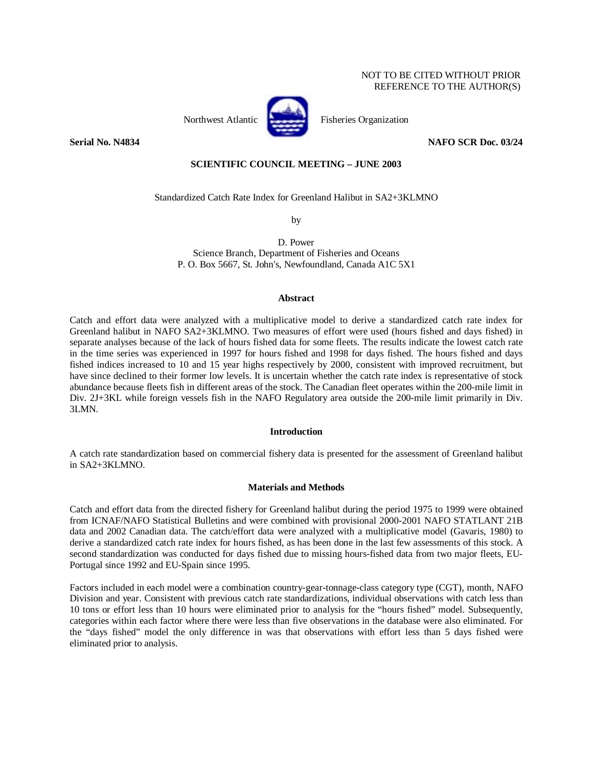Northwest Atlantic Fisheries Organization



**Serial No. N4834 NAFO SCR Doc. 03/24** 

# **SCIENTIFIC COUNCIL MEETING – JUNE 2003**

Standardized Catch Rate Index for Greenland Halibut in SA2+3KLMNO

by

D. Power Science Branch, Department of Fisheries and Oceans P. O. Box 5667, St. John's, Newfoundland, Canada A1C 5X1

#### **Abstract**

Catch and effort data were analyzed with a multiplicative model to derive a standardized catch rate index for Greenland halibut in NAFO SA2+3KLMNO. Two measures of effort were used (hours fished and days fished) in separate analyses because of the lack of hours fished data for some fleets. The results indicate the lowest catch rate in the time series was experienced in 1997 for hours fished and 1998 for days fished. The hours fished and days fished indices increased to 10 and 15 year highs respectively by 2000, consistent with improved recruitment, but have since declined to their former low levels. It is uncertain whether the catch rate index is representative of stock abundance because fleets fish in different areas of the stock. The Canadian fleet operates within the 200-mile limit in Div. 2J+3KL while foreign vessels fish in the NAFO Regulatory area outside the 200-mile limit primarily in Div. 3LMN.

## **Introduction**

A catch rate standardization based on commercial fishery data is presented for the assessment of Greenland halibut in SA2+3KLMNO.

## **Materials and Methods**

Catch and effort data from the directed fishery for Greenland halibut during the period 1975 to 1999 were obtained from ICNAF/NAFO Statistical Bulletins and were combined with provisional 2000-2001 NAFO STATLANT 21B data and 2002 Canadian data. The catch/effort data were analyzed with a multiplicative model (Gavaris, 1980) to derive a standardized catch rate index for hours fished, as has been done in the last few assessments of this stock. A second standardization was conducted for days fished due to missing hours-fished data from two major fleets, EU-Portugal since 1992 and EU-Spain since 1995.

Factors included in each model were a combination country-gear-tonnage-class category type (CGT), month, NAFO Division and year. Consistent with previous catch rate standardizations, individual observations with catch less than 10 tons or effort less than 10 hours were eliminated prior to analysis for the "hours fished" model. Subsequently, categories within each factor where there were less than five observations in the database were also eliminated. For the "days fished" model the only difference in was that observations with effort less than 5 days fished were eliminated prior to analysis.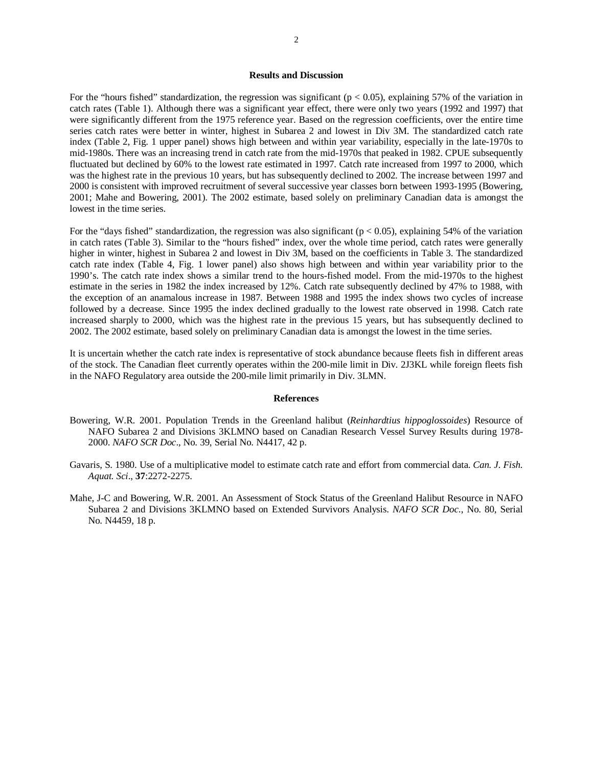## **Results and Discussion**

For the "hours fished" standardization, the regression was significant ( $p < 0.05$ ), explaining 57% of the variation in catch rates (Table 1). Although there was a significant year effect, there were only two years (1992 and 1997) that were significantly different from the 1975 reference year. Based on the regression coefficients, over the entire time series catch rates were better in winter, highest in Subarea 2 and lowest in Div 3M. The standardized catch rate index (Table 2, Fig. 1 upper panel) shows high between and within year variability, especially in the late-1970s to mid-1980s. There was an increasing trend in catch rate from the mid-1970s that peaked in 1982. CPUE subsequently fluctuated but declined by 60% to the lowest rate estimated in 1997. Catch rate increased from 1997 to 2000, which was the highest rate in the previous 10 years, but has subsequently declined to 2002. The increase between 1997 and 2000 is consistent with improved recruitment of several successive year classes born between 1993-1995 (Bowering, 2001; Mahe and Bowering, 2001). The 2002 estimate, based solely on preliminary Canadian data is amongst the lowest in the time series.

For the "days fished" standardization, the regression was also significant ( $p < 0.05$ ), explaining 54% of the variation in catch rates (Table 3). Similar to the "hours fished" index, over the whole time period, catch rates were generally higher in winter, highest in Subarea 2 and lowest in Div 3M, based on the coefficients in Table 3. The standardized catch rate index (Table 4, Fig. 1 lower panel) also shows high between and within year variability prior to the 1990's. The catch rate index shows a similar trend to the hours-fished model. From the mid-1970s to the highest estimate in the series in 1982 the index increased by 12%. Catch rate subsequently declined by 47% to 1988, with the exception of an anamalous increase in 1987. Between 1988 and 1995 the index shows two cycles of increase followed by a decrease. Since 1995 the index declined gradually to the lowest rate observed in 1998. Catch rate increased sharply to 2000, which was the highest rate in the previous 15 years, but has subsequently declined to 2002. The 2002 estimate, based solely on preliminary Canadian data is amongst the lowest in the time series.

It is uncertain whether the catch rate index is representative of stock abundance because fleets fish in different areas of the stock. The Canadian fleet currently operates within the 200-mile limit in Div. 2J3KL while foreign fleets fish in the NAFO Regulatory area outside the 200-mile limit primarily in Div. 3LMN.

#### **References**

- Bowering, W.R. 2001. Population Trends in the Greenland halibut (*Reinhardtius hippoglossoides*) Resource of NAFO Subarea 2 and Divisions 3KLMNO based on Canadian Research Vessel Survey Results during 1978- 2000. *NAFO SCR Doc*., No. 39, Serial No. N4417, 42 p.
- Gavaris, S. 1980. Use of a multiplicative model to estimate catch rate and effort from commercial data. *Can. J. Fish. Aquat. Sci*., **37**:2272-2275.
- Mahe, J-C and Bowering, W.R. 2001. An Assessment of Stock Status of the Greenland Halibut Resource in NAFO Subarea 2 and Divisions 3KLMNO based on Extended Survivors Analysis. *NAFO SCR Doc*., No. 80, Serial No. N4459, 18 p.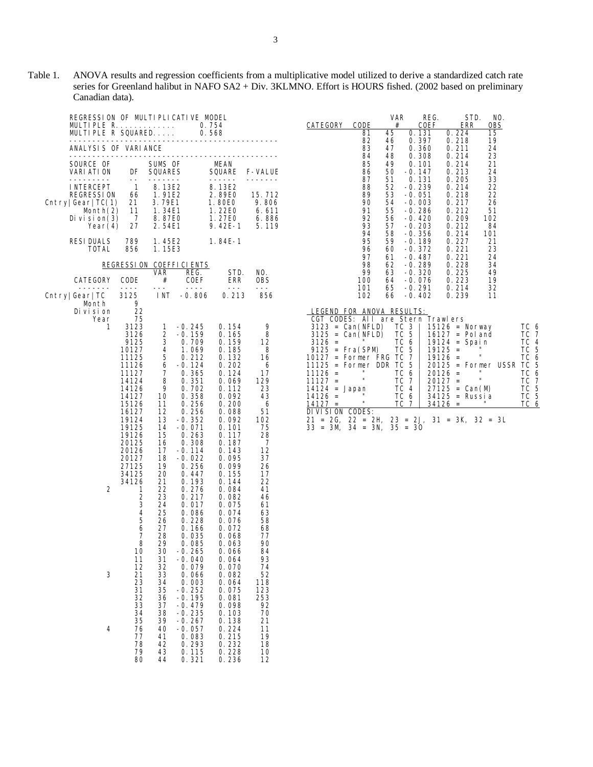Table 1. ANOVA results and regression coefficients from a multiplicative model utilized to derive a standardized catch rate series for Greenland halibut in NAFO SA2 + Div. 3KLMNO. Effort is HOURS fished. (2002 based on preliminary Canadian data).

| REGRESSION OF MULTIPLICATIVE MODEL<br>MULTIPLE $R$ 0.754<br>MULTIPLE R SQUARED                                    |                                                                                                                                                                                                                                                 |                                                                                                                                                                                |                                                                                                                                                                                                                                                                                       | 0.568                                                                                                                                                                                                                                                                                                                                                                                                                                                                                               |                                                                                                                                                                        |  |  |  |  |  |
|-------------------------------------------------------------------------------------------------------------------|-------------------------------------------------------------------------------------------------------------------------------------------------------------------------------------------------------------------------------------------------|--------------------------------------------------------------------------------------------------------------------------------------------------------------------------------|---------------------------------------------------------------------------------------------------------------------------------------------------------------------------------------------------------------------------------------------------------------------------------------|-----------------------------------------------------------------------------------------------------------------------------------------------------------------------------------------------------------------------------------------------------------------------------------------------------------------------------------------------------------------------------------------------------------------------------------------------------------------------------------------------------|------------------------------------------------------------------------------------------------------------------------------------------------------------------------|--|--|--|--|--|
| ________________<br>--------------------<br>ANALYSIS OF VARIANCE<br>------------------------                      |                                                                                                                                                                                                                                                 |                                                                                                                                                                                |                                                                                                                                                                                                                                                                                       |                                                                                                                                                                                                                                                                                                                                                                                                                                                                                                     |                                                                                                                                                                        |  |  |  |  |  |
| SOURCE OF<br>VARI ATI ON<br>----------                                                                            | DF<br>$- -$                                                                                                                                                                                                                                     | SUMS OF<br>SQUARES                                                                                                                                                             |                                                                                                                                                                                                                                                                                       | MEAN<br><b>SQUARE</b><br>$\frac{1}{2} \left( \frac{1}{2} \right) \left( \frac{1}{2} \right) \left( \frac{1}{2} \right) \left( \frac{1}{2} \right) \left( \frac{1}{2} \right) \left( \frac{1}{2} \right) \left( \frac{1}{2} \right) \left( \frac{1}{2} \right) \left( \frac{1}{2} \right) \left( \frac{1}{2} \right) \left( \frac{1}{2} \right) \left( \frac{1}{2} \right) \left( \frac{1}{2} \right) \left( \frac{1}{2} \right) \left( \frac{1}{2} \right) \left( \frac{1}{2} \right) \left( \frac$ | <b>F-VALUE</b><br>-------                                                                                                                                              |  |  |  |  |  |
| I NTERCEPT<br>REGRESSI ON<br>$\text{Chtry} \text{Gear} \text{TC}(1) $<br>Month(2)<br>Di vi si on $(3)$<br>Year(4) | $\mathbf{1}$<br>66<br>21.<br>11<br>$\overline{7}$<br>27                                                                                                                                                                                         | -------<br>8. 13E2<br>8.13E2<br>1.91E2<br>3.79E1<br>1.34E1<br>8.87E0<br>2.54E1                                                                                                 |                                                                                                                                                                                                                                                                                       | 8.13E2<br>2.89E0<br>1.80E0<br>1.22E0<br>1.27E0<br>$9.42E - 1$                                                                                                                                                                                                                                                                                                                                                                                                                                       | 15.712<br>9.806<br>6.611<br>6.886<br>5.119                                                                                                                             |  |  |  |  |  |
| RESI DUALS<br>TOTAL                                                                                               | 789<br>856                                                                                                                                                                                                                                      | 1.45E2<br>1.15E3                                                                                                                                                               |                                                                                                                                                                                                                                                                                       | 1.84E-1                                                                                                                                                                                                                                                                                                                                                                                                                                                                                             |                                                                                                                                                                        |  |  |  |  |  |
|                                                                                                                   |                                                                                                                                                                                                                                                 |                                                                                                                                                                                | REGRESSION COEFFICIENTS                                                                                                                                                                                                                                                               |                                                                                                                                                                                                                                                                                                                                                                                                                                                                                                     |                                                                                                                                                                        |  |  |  |  |  |
| CATEGORY                                                                                                          | CODE                                                                                                                                                                                                                                            | VAR.<br>#                                                                                                                                                                      | REG.<br>COEF                                                                                                                                                                                                                                                                          | STD.<br>ERR                                                                                                                                                                                                                                                                                                                                                                                                                                                                                         | NO.<br>0BS                                                                                                                                                             |  |  |  |  |  |
| -------<br>Cntry Gear TC                                                                                          | ----<br>3125                                                                                                                                                                                                                                    | $- -$<br>I NT                                                                                                                                                                  | $- - - -$<br>-0. 806                                                                                                                                                                                                                                                                  | $- - -$<br>0.213                                                                                                                                                                                                                                                                                                                                                                                                                                                                                    | 856                                                                                                                                                                    |  |  |  |  |  |
| Month<br>Di vi si on<br>Year<br>1<br>2                                                                            | 9<br>22<br>75<br>3123<br>3126<br>9125<br>10127<br>11125<br>11126<br>11127<br>14124<br>14126<br>14127<br>15126<br>16127<br>19124<br>19125<br>19126<br>20125<br>20126<br>20127<br>27125<br>34125<br>34126<br>1<br>2<br>3<br>4<br>5<br>6<br>7<br>8 | 1<br>2<br>3<br>$\overline{4}$<br>5<br>6<br>7<br>8<br>9<br>10<br>11<br>12<br>13<br>14<br>15<br>16<br>17<br>18<br>19<br>20<br>21<br>22<br>23<br>24<br>25<br>26<br>27<br>28<br>29 | $-0.245$<br>$-0.159$<br>0. 709<br>1.069<br>0.212<br>$-0.124$<br>0.365<br>0.351<br>0.702<br>0.358<br>0.256<br>0.256<br>$-0.352$<br>$-0.071$<br>0.263<br>0.308<br>$-0.114$<br>-0.022<br>0.256<br>0.447<br>0.193<br>0.276<br>0.217<br>0.017<br>0.086<br>0.228<br>0.166<br>0.035<br>0.085 | 0.154<br>0.165<br>0.159<br>0.185<br>0.132<br>0.202<br>0.124<br>0.069<br>0.112<br>0.092<br>0.200<br>0.088<br>0.092<br>0.101<br>0.117<br>0.187<br>0.143<br>0.095<br>0.099<br>0.155<br>0.144<br>0.084<br>0.082<br>0.075<br>0.074<br>0.076<br>0.072<br>0.068<br>0.063                                                                                                                                                                                                                                   | 9<br>8<br>12<br>8<br>16<br>6<br>17<br>129<br>23<br>43<br>6<br>51<br>102<br>75<br>28<br>7<br>12<br>37<br>26<br>17<br>22<br>41<br>46<br>61<br>63<br>58<br>68<br>77<br>90 |  |  |  |  |  |
| 3<br>4                                                                                                            | 10<br>11<br>12<br>21<br>23<br>31<br>32<br>33<br>34<br>35<br>76                                                                                                                                                                                  | 30<br>31<br>32<br>33<br>34<br>35<br>36<br>37<br>38<br>39<br>40                                                                                                                 | -0. 265<br>$-0.040$<br>0.079<br>0.066<br>0.003<br>-0. 252<br>-0. 195<br>$-0.479$<br>-0. 235<br>-0. 267<br>-0. 057                                                                                                                                                                     | 0.066<br>0.064<br>0. 070<br>0.082<br>0.064<br>0. 075<br>0.081<br>0.098<br>0.103<br>0.138<br>0.224                                                                                                                                                                                                                                                                                                                                                                                                   | 84<br>93<br>74<br>52<br>118<br>123<br>253<br>92<br>70<br>21<br>11                                                                                                      |  |  |  |  |  |
|                                                                                                                   | 77<br>78<br>79<br>80                                                                                                                                                                                                                            | 41<br>42<br>43<br>44                                                                                                                                                           | 0.083<br>0.293<br>0.115<br>0.321                                                                                                                                                                                                                                                      | 0.215<br>0.232<br>0.228<br>0. 236                                                                                                                                                                                                                                                                                                                                                                                                                                                                   | 19<br>18<br>10<br>12                                                                                                                                                   |  |  |  |  |  |

|                 |                                   | <b>VAR</b>   | REG.             |                   | STD.<br>NO.  |                       |
|-----------------|-----------------------------------|--------------|------------------|-------------------|--------------|-----------------------|
| <b>CATEGORY</b> | CODE                              | #            | COEF             | <b>ERR</b>        | OBS          |                       |
|                 | 81                                | 45           | 0.131            | 0.224             | 15           |                       |
|                 | 82                                | 46           | 0.397            | 0.218             | 19           |                       |
|                 | 83                                | 47           | 0.360            | 0.211             | 24           |                       |
|                 | 84                                | 48           | 0.308            | 0.214             | 23           |                       |
|                 | 85                                | 49           | 0.101            | 0.214             | 21           |                       |
|                 | 86                                | 50           | $-0.147$         | 0.213             | 24           |                       |
|                 | 87                                | 51           | 0.131            | 0.205             | 33           |                       |
|                 | 88                                | 52           | $-0.239$         | 0.214             | 22           |                       |
|                 | 89                                | 53           | $-0.051$         | 0.218             | 22           |                       |
|                 | 90                                | 54           | $-0.003$         | 0.217             | 26           |                       |
|                 | 91                                | 55           | -0.286           | 0.212             | 51           |                       |
|                 | 92                                | 56           | $-0.420$         | 0.209             | 102          |                       |
|                 | 93                                | 57           | $-0.203$         | 0.212             | 84           |                       |
|                 | 94                                | 58           | $-0.356$         | 0.214             | 101          |                       |
|                 | 95                                | 59           | $-0.189$         | 0.227             | 21           |                       |
|                 | 96                                | 60           | $-0.372$         | 0.221             | 23           |                       |
|                 | 97                                | 61           | $-0.487$         | 0.221             | 24           |                       |
|                 | 98                                | 62           | $-0.289$         | 0.228             | 34           |                       |
|                 | 99                                | 63           | $-0.320$         | 0.225             | 49           |                       |
|                 | 100                               | 64           | $-0.076$         | 0.223             | 19           |                       |
|                 | 101                               | 65           | $-0.291$         | 0.214             | 32           |                       |
|                 | 102                               | 66           | -0.402           | 0.239             | 11           |                       |
|                 |                                   |              |                  |                   |              |                       |
|                 | <u>LEGEND FOR ANOVA RESULTS:</u>  |              |                  |                   |              |                       |
|                 | CGT CODES: All are Stern Trawlers |              |                  |                   |              |                       |
|                 | $3123 = Can(NFLD)$                | TC 3<br>TC 5 |                  | $15126$ = Norway  |              | TC 6                  |
| 3125<br>$=$     | Can(NFLD)                         |              |                  | $16127 =$ Pol and |              | ТC<br>$7\overline{ }$ |
| 3126<br>$=$     |                                   | TC           | 6                | 19124             | $=$ Spain    | ТC<br>$\overline{4}$  |
| $9125 =$        | Fra(SPM)                          | <b>TC</b>    | 5                | 19125<br>$\equiv$ |              | ТC<br>5               |
| $10127 =$       | Former FRG                        | TC           | $\overline{7}$   | $19126 =$         | $\mathbf{H}$ | ТC<br>6               |
| 11125<br>$=$    | Former DDR                        | ТC           | 5                | 20125<br>$=$      | Former USSR  | ТC<br>5               |
| 11126<br>$=$    | п                                 | ТC           | 6                | 20126<br>$=$      | п            | ТC<br>6               |
| 11127<br>$=$    | п                                 | ТC           | $\overline{7}$   | 20127<br>$=$      | $\mathbf{u}$ | ТC<br>7               |
| 14124<br>$=$    | Japan                             | TC           | $\overline{4}$   | $27125 =$         | Can(M)       | ТC<br>5               |
| 14126<br>$=$    | $\blacksquare$                    | ТC           | 6                | 34125<br>$\equiv$ | Russi a      | ТC<br>5               |
| 14127<br>$=$    | п                                 | TC           | $\overline{7}$   | 34126<br>$=$      |              | ТC<br>6               |
| DIVISION CODES: |                                   |              |                  |                   |              |                       |
|                 | ว1 – วี่ วว – วัน                 |              | ว <b>? – ว</b> เ | $21 -$<br>?K      | 22 -<br>21   |                       |

|  |  |                                   |  | 21 = 2G, 22 = 2H, 23 = 2J, 31 = 3K, 32 = 3L |
|--|--|-----------------------------------|--|---------------------------------------------|
|  |  | $33 = 3M$ , $34 = 3N$ , $35 = 30$ |  |                                             |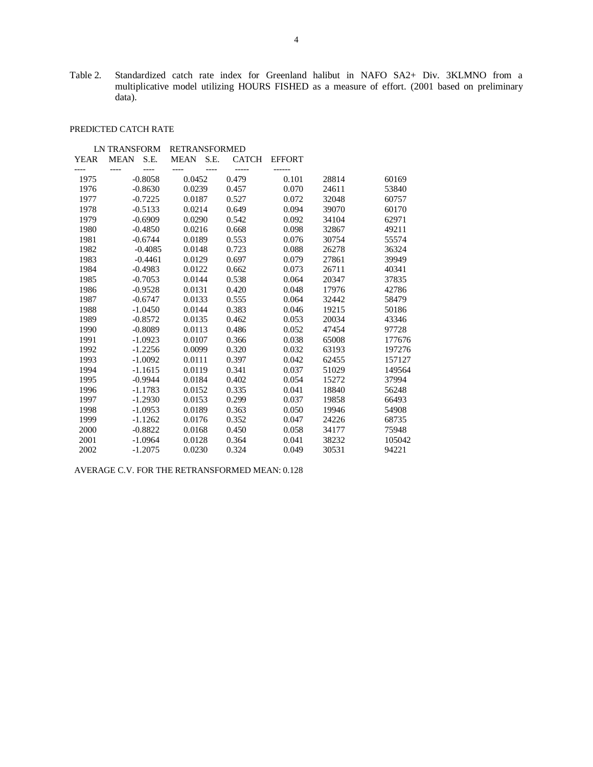Table 2. Standardized catch rate index for Greenland halibut in NAFO SA2+ Div. 3KLMNO from a multiplicative model utilizing HOURS FISHED as a measure of effort. (2001 based on preliminary data).

# PREDICTED CATCH RATE

|             | <b>LN TRANSFORM</b><br><b>RETRANSFORMED</b> |                    |             |      |                |               |       |        |
|-------------|---------------------------------------------|--------------------|-------------|------|----------------|---------------|-------|--------|
| <b>YEAR</b> | MEAN                                        | S.E.               | <b>MEAN</b> | S.E. | <b>CATCH</b>   | <b>EFFORT</b> |       |        |
| 1975        |                                             | $---$<br>$-0.8058$ | 0.0452      |      | -----<br>0.479 | 0.101         | 28814 | 60169  |
| 1976        |                                             | $-0.8630$          | 0.0239      |      | 0.457          | 0.070         | 24611 | 53840  |
| 1977        |                                             | $-0.7225$          | 0.0187      |      | 0.527          | 0.072         | 32048 | 60757  |
| 1978        |                                             | $-0.5133$          | 0.0214      |      | 0.649          | 0.094         | 39070 | 60170  |
| 1979        |                                             | $-0.6909$          | 0.0290      |      | 0.542          | 0.092         | 34104 | 62971  |
| 1980        |                                             | $-0.4850$          | 0.0216      |      | 0.668          | 0.098         | 32867 | 49211  |
| 1981        |                                             | $-0.6744$          | 0.0189      |      | 0.553          | 0.076         | 30754 | 55574  |
| 1982        |                                             | $-0.4085$          | 0.0148      |      | 0.723          | 0.088         | 26278 | 36324  |
| 1983        |                                             | $-0.4461$          | 0.0129      |      | 0.697          | 0.079         | 27861 | 39949  |
| 1984        |                                             | $-0.4983$          | 0.0122      |      | 0.662          | 0.073         | 26711 | 40341  |
| 1985        |                                             | $-0.7053$          | 0.0144      |      | 0.538          | 0.064         | 20347 | 37835  |
| 1986        |                                             | $-0.9528$          | 0.0131      |      | 0.420          | 0.048         | 17976 | 42786  |
| 1987        |                                             | $-0.6747$          | 0.0133      |      | 0.555          | 0.064         | 32442 | 58479  |
| 1988        |                                             | $-1.0450$          | 0.0144      |      | 0.383          | 0.046         | 19215 | 50186  |
| 1989        |                                             | $-0.8572$          | 0.0135      |      | 0.462          | 0.053         | 20034 | 43346  |
| 1990        |                                             | $-0.8089$          | 0.0113      |      | 0.486          | 0.052         | 47454 | 97728  |
| 1991        |                                             | $-1.0923$          | 0.0107      |      | 0.366          | 0.038         | 65008 | 177676 |
| 1992        |                                             | $-1.2256$          | 0.0099      |      | 0.320          | 0.032         | 63193 | 197276 |
| 1993        |                                             | $-1.0092$          | 0.0111      |      | 0.397          | 0.042         | 62455 | 157127 |
| 1994        |                                             | $-1.1615$          | 0.0119      |      | 0.341          | 0.037         | 51029 | 149564 |
| 1995        |                                             | $-0.9944$          | 0.0184      |      | 0.402          | 0.054         | 15272 | 37994  |
| 1996        |                                             | $-1.1783$          | 0.0152      |      | 0.335          | 0.041         | 18840 | 56248  |
| 1997        |                                             | $-1.2930$          | 0.0153      |      | 0.299          | 0.037         | 19858 | 66493  |
| 1998        |                                             | $-1.0953$          | 0.0189      |      | 0.363          | 0.050         | 19946 | 54908  |
| 1999        |                                             | $-1.1262$          | 0.0176      |      | 0.352          | 0.047         | 24226 | 68735  |
| 2000        |                                             | $-0.8822$          | 0.0168      |      | 0.450          | 0.058         | 34177 | 75948  |
| 2001        |                                             | $-1.0964$          | 0.0128      |      | 0.364          | 0.041         | 38232 | 105042 |
| 2002        |                                             | $-1.2075$          | 0.0230      |      | 0.324          | 0.049         | 30531 | 94221  |

AVERAGE C.V. FOR THE RETRANSFORMED MEAN: 0.128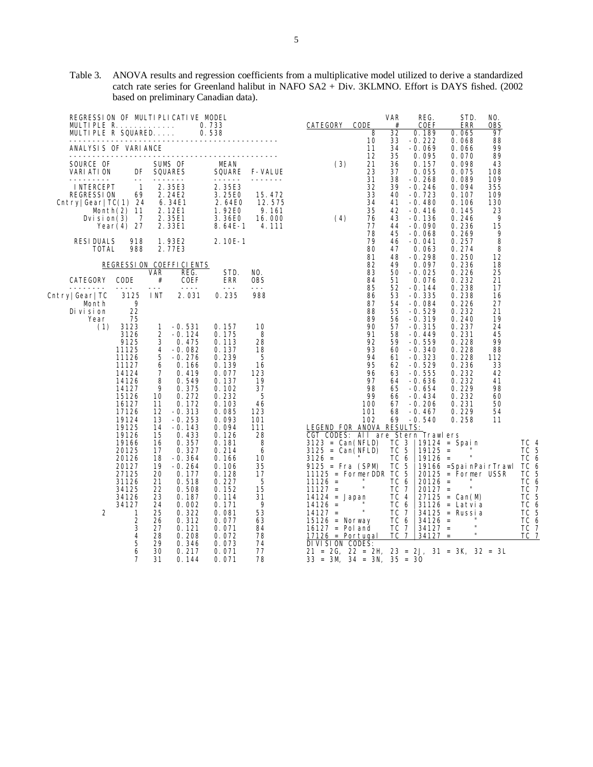| REGRESSION OF MULTIPLICATIVE MODEL<br>MULTIPLE R.<br>MULTIPLE R SQUARED                              |                                                                                                                                  |                                                                                              |                                                                                                                                                          | 0.733<br>0.538                                                                                                                               |                                                                                          | CATEGORY                                                                                                                                                                                                                                                                                                                                                     | CODE<br>8                                                                     | <b>VAR</b><br>#<br>32                                                                                 | REG.<br>COEF<br>0.189                                                                                                                                              | STD.<br>ERR<br>0.065                                                                                                                                                               | NO.<br>0BS<br>97                                                            |                                                                                                      |
|------------------------------------------------------------------------------------------------------|----------------------------------------------------------------------------------------------------------------------------------|----------------------------------------------------------------------------------------------|----------------------------------------------------------------------------------------------------------------------------------------------------------|----------------------------------------------------------------------------------------------------------------------------------------------|------------------------------------------------------------------------------------------|--------------------------------------------------------------------------------------------------------------------------------------------------------------------------------------------------------------------------------------------------------------------------------------------------------------------------------------------------------------|-------------------------------------------------------------------------------|-------------------------------------------------------------------------------------------------------|--------------------------------------------------------------------------------------------------------------------------------------------------------------------|------------------------------------------------------------------------------------------------------------------------------------------------------------------------------------|-----------------------------------------------------------------------------|------------------------------------------------------------------------------------------------------|
| ANALYSIS OF VARIANCE                                                                                 | .                                                                                                                                |                                                                                              |                                                                                                                                                          |                                                                                                                                              |                                                                                          |                                                                                                                                                                                                                                                                                                                                                              | 10<br>11                                                                      | 33<br>34                                                                                              | $-0.222$<br>$-0.069$                                                                                                                                               | 0.068<br>0.066                                                                                                                                                                     | 88<br>99                                                                    |                                                                                                      |
| SOURCE OF<br>VARI ATI ON                                                                             | DF<br>$ -$                                                                                                                       |                                                                                              | SUMS OF<br><b>SQUARES</b>                                                                                                                                | <b>MEAN</b><br><b>SQUARE</b>                                                                                                                 | <b>F-VALUE</b>                                                                           | (3)                                                                                                                                                                                                                                                                                                                                                          | 12<br>21<br>23<br>31                                                          | 35<br>36<br>37                                                                                        | 0.095<br>0.157<br>0.055                                                                                                                                            | 0.070<br>0.098<br>0.075<br>0.089                                                                                                                                                   | 89<br>43<br>108                                                             |                                                                                                      |
| <b>INTERCEPT</b><br><b>REGRESSION</b><br>$\text{Chtry} \text{Gear} \text{TC}(1)$ 24<br>Dvision $(3)$ | $\overline{1}$<br>69<br>Month(2) 11<br>$\overline{7}$<br>Year $(4)$ 27                                                           |                                                                                              | 2.35E3<br>2.24E2<br>6.34E1<br>2.12E1<br>2.35E1<br>2.33E1                                                                                                 | 2.35E3<br>3.25E0<br>2.64E0<br>1.92E0<br>3.36E0<br>$8.64E-1$                                                                                  | 15.472<br>12.575<br>9.161<br>16.000<br>4.111                                             | (4)                                                                                                                                                                                                                                                                                                                                                          | 32<br>33<br>34<br>35<br>76<br>77<br>78                                        | 38<br>39<br>40<br>41<br>42<br>43<br>44<br>45                                                          | -0. 268<br>$-0.246$<br>$-0.723$<br>$-0.480$<br>$-0.416$<br>$-0.136$<br>$-0.090$<br>$-0.068$                                                                        | 0.094<br>0.107<br>0.106<br>0.145<br>0.246<br>0.236<br>0.269                                                                                                                        | 109<br>355<br>109<br>130<br>23<br>9<br>15<br>9                              |                                                                                                      |
| <b>RESIDUALS</b><br><b>TOTAL</b>                                                                     | 918<br>988                                                                                                                       |                                                                                              | 1.93E2<br>2.77E3                                                                                                                                         | $2.10E-1$                                                                                                                                    |                                                                                          |                                                                                                                                                                                                                                                                                                                                                              | 79<br>80<br>81                                                                | 46<br>47<br>48                                                                                        | $-0.041$<br>0.063<br>$-0.298$                                                                                                                                      | 0.257<br>0.274<br>0.250                                                                                                                                                            | 8<br>8<br>12                                                                |                                                                                                      |
|                                                                                                      |                                                                                                                                  | VAR                                                                                          | REGRESSION COEFFICIENTS<br>REG.                                                                                                                          | STD.                                                                                                                                         | NO.                                                                                      |                                                                                                                                                                                                                                                                                                                                                              | 82<br>83                                                                      | 49<br>50                                                                                              | 0.097<br>$-0.025$                                                                                                                                                  | 0.236<br>0.226                                                                                                                                                                     | 18<br>25                                                                    |                                                                                                      |
| CATEGORY                                                                                             | CODE                                                                                                                             | #<br>$- - -$                                                                                 | <b>COEF</b><br>$- - - -$                                                                                                                                 | <b>ERR</b><br>$- - -$                                                                                                                        | <b>OBS</b><br>$- - -$                                                                    |                                                                                                                                                                                                                                                                                                                                                              | 84<br>85                                                                      | 51<br>52                                                                                              | 0.076<br>$-0.144$                                                                                                                                                  | 0.232<br>0.238                                                                                                                                                                     | 21<br>17                                                                    |                                                                                                      |
| Cntry Gear TC<br>Month<br>Di vi si on                                                                | 3125<br>9<br>22<br>75                                                                                                            | I NT                                                                                         | 2.031                                                                                                                                                    | 0.235                                                                                                                                        | 988                                                                                      |                                                                                                                                                                                                                                                                                                                                                              | 86<br>87<br>88<br>89                                                          | 53<br>54<br>55                                                                                        | $-0.335$<br>$-0.084$<br>$-0.529$                                                                                                                                   | 0.238<br>0.226<br>0.232                                                                                                                                                            | 16<br>27<br>21<br>19                                                        |                                                                                                      |
| Year<br>(1)                                                                                          | 3123<br>3126<br>9125<br>11125<br>11126<br>11127<br>14124<br>14126<br>14127<br>15126<br>16127<br>17126<br>19124<br>19125<br>19126 | 1<br>2<br>3<br>4<br>5<br>6<br>7<br>8<br>9<br>10<br>11<br>12<br>13<br>14<br>15                | $-0.531$<br>$-0.124$<br>0.475<br>$-0.082$<br>$-0.276$<br>0.166<br>0.419<br>0.549<br>0.375<br>0.272<br>0.172<br>$-0.313$<br>$-0.253$<br>$-0.143$<br>0.433 | 0.157<br>0.175<br>0.113<br>0.137<br>0.239<br>0.139<br>0.077<br>0.137<br>0.102<br>0.232<br>0.103<br>0.085<br>0.093<br>0.094<br>0.126          | 10<br>8<br>28<br>18<br>5<br>16<br>123<br>19<br>37<br>5<br>46<br>123<br>101<br>111<br>28  | LEGEND FOR ANOVA<br>CGT CODES: All are Stern Trawlers                                                                                                                                                                                                                                                                                                        | 90<br>91<br>92<br>93<br>94<br>95<br>96<br>97<br>98<br>99<br>100<br>101<br>102 | 56<br>57<br>58<br>59<br>60<br>61<br>62<br>63<br>64<br>65<br>66<br>67<br>68<br>69<br><b>RESULTS:</b>   | -0.319<br>$-0.315$<br>$-0.449$<br>$-0.559$<br>$-0.340$<br>$-0.323$<br>$-0.529$<br>$-0.555$<br>$-0.636$<br>$-0.654$<br>$-0.434$<br>$-0.206$<br>$-0.467$<br>$-0.540$ | 0.240<br>0.237<br>0.231<br>0.228<br>0.228<br>0.228<br>0.236<br>0.232<br>0.232<br>0.229<br>0.232<br>0.231<br>0.229<br>0.258                                                         | 24<br>45<br>99<br>88<br>112<br>33<br>42<br>41<br>98<br>60<br>50<br>54<br>11 |                                                                                                      |
| 2                                                                                                    | 19166<br>20125<br>20126<br>20127<br>27125<br>31126<br>34125<br>34126<br>34127<br>1<br>2<br>3<br>4<br>5<br>6<br>7                 | 16<br>17<br>18<br>19<br>20<br>21<br>22<br>23<br>24<br>25<br>26<br>27<br>28<br>29<br>30<br>31 | 0.357<br>0.327<br>$-0.364$<br>$-0.264$<br>0.177<br>0.518<br>0.508<br>0.187<br>0.002<br>0.322<br>0.312<br>0.121<br>0.208<br>0.346<br>0.217<br>0.144       | 0.181<br>0.214<br>0.166<br>0.106<br>0.128<br>0.227<br>0.152<br>0.114<br>0.171<br>0.081<br>0.077<br>0.071<br>0.072<br>0.073<br>0.071<br>0.071 | 8<br>6<br>10<br>35<br>17<br>5<br>15<br>31<br>9<br>53<br>63<br>84<br>78<br>74<br>77<br>78 | $3123 = Can(NFLD)$<br>$3125 = Can(NFLD)$<br>$3126 =$<br>$9125 = Fra (SPM)$<br>$11125 = FormerDDR$<br>$11126 =$<br>$11127 =$<br>$14124 = Japan$<br>$14126 =$<br>$14127 =$<br>$15126$ = Norway<br>$16127 =$ Pol and<br>$17126$ = Portugal<br>DIVISION CODES:<br>$21 = 2G$ , $22 = 2H$ , $23 = 2J$ , $31 = 3K$ , $32 = 3L$<br>$33 = 3M$ , $34 = 3N$ , $35 = 30$ | п<br>$\mathbf{H}$                                                             | TC 3<br>TC<br>TC 6<br>TC 5<br>TC 5<br>TC 6<br>ТC<br>TC 4<br>TC 6<br>TC 7<br>TC 6<br>TC 7<br><b>TC</b> | 5<br>$19125 =$<br>$19126 =$<br>$20126 =$<br>$20127 =$<br>$\overline{7}$<br>$34126 =$<br>$34127 =$<br>$\overline{7}$<br>$34127 =$                                   | 19124 = Spain<br>$\mathbf{u}$<br>19166 = SpainPairTrawl<br>$20125 =$ Former USSR<br>H.<br>$27125 = Can(M)$<br>$31126 =$ Latvia<br>$34125$ = Russia<br>$\mathbf{u}$<br>$\mathbf{u}$ |                                                                             | TC 4<br>TC 5<br>TC 6<br>TC 6<br>TC 5<br>TC 6<br>TC 7<br>TC 5<br>TC 6<br>TC 5<br>TC 6<br>TC 7<br>TC 7 |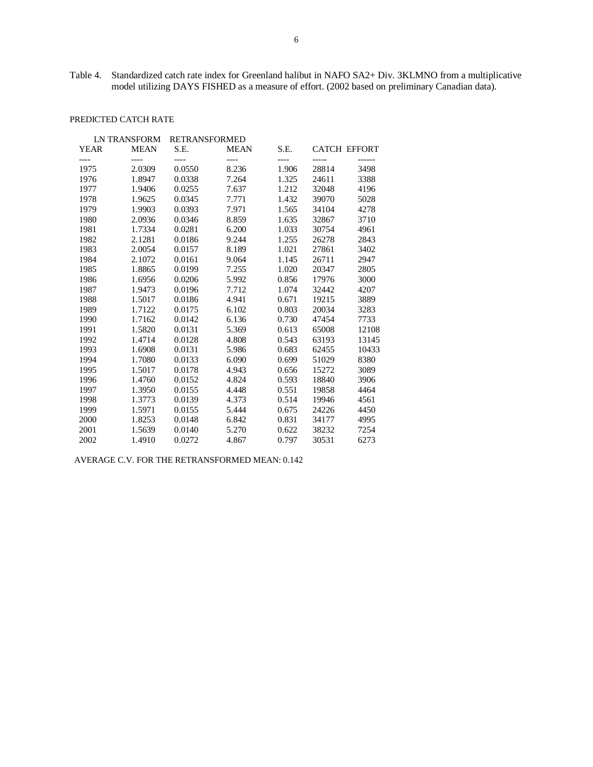Table 4. Standardized catch rate index for Greenland halibut in NAFO SA2+ Div. 3KLMNO from a multiplicative model utilizing DAYS FISHED as a measure of effort. (2002 based on preliminary Canadian data).

# PREDICTED CATCH RATE

|             | LN TRANSFORM | <b>RETRANSFORMED</b> |             |       |                     |       |
|-------------|--------------|----------------------|-------------|-------|---------------------|-------|
| <b>YEAR</b> | <b>MEAN</b>  | S.E.                 | <b>MEAN</b> | S.E.  | <b>CATCH EFFORT</b> |       |
| ----        | ----         | ----                 | $---$       | ----  |                     |       |
| 1975        |              |                      |             | 1.906 |                     | 3498  |
| 1976        | 1.8947       | 0.0338               | 7.264       | 1.325 | 24611               | 3388  |
| 1977        | 1.9406       | 0.0255               | 7.637       | 1.212 | 32048               | 4196  |
| 1978        | 1.9625       | 0.0345               | 7.771       | 1.432 | 39070               | 5028  |
| 1979        | 1.9903       | 0.0393               | 7.971       | 1.565 | 34104               | 4278  |
| 1980        | 2.0936       | 0.0346               | 8.859       | 1.635 | 32867               | 3710  |
| 1981        | 1.7334       | 0.0281               | 6.200       | 1.033 | 30754               | 4961  |
| 1982        | 2.1281       | 0.0186               | 9.244       | 1.255 | 26278               | 2843  |
| 1983        | 2.0054       | 0.0157               | 8.189       | 1.021 | 27861               | 3402  |
| 1984        | 2.1072       | 0.0161               | 9.064       | 1.145 | 26711               | 2947  |
| 1985        | 1.8865       | 0.0199               | 7.255       | 1.020 | 20347               | 2805  |
| 1986        | 1.6956       | 0.0206               | 5.992       | 0.856 | 17976               | 3000  |
| 1987        | 1.9473       | 0.0196               | 7.712       | 1.074 | 32442               | 4207  |
| 1988        | 1.5017       | 0.0186               | 4.941       | 0.671 | 19215               | 3889  |
| 1989        | 1.7122       | 0.0175               | 6.102       | 0.803 | 20034               | 3283  |
| 1990        | 1.7162       | 0.0142               | 6.136       | 0.730 | 47454               | 7733  |
| 1991        | 1.5820       | 0.0131               | 5.369       | 0.613 | 65008               | 12108 |
| 1992        | 1.4714       | 0.0128               | 4.808       | 0.543 | 63193               | 13145 |
| 1993        | 1.6908       | 0.0131               | 5.986       | 0.683 | 62455               | 10433 |
| 1994        | 1.7080       | 0.0133               | 6.090       | 0.699 | 51029               | 8380  |
| 1995        | 1.5017       | 0.0178               | 4.943       | 0.656 | 15272               | 3089  |
| 1996        | 1.4760       | 0.0152               | 4.824       | 0.593 | 18840               | 3906  |
| 1997        | 1.3950       | 0.0155               | 4.448       | 0.551 | 19858               | 4464  |
| 1998        | 1.3773       | 0.0139               | 4.373       | 0.514 | 19946               | 4561  |
| 1999        | 1.5971       | 0.0155               | 5.444       | 0.675 | 24226               | 4450  |
| 2000        | 1.8253       | 0.0148               | 6.842       | 0.831 | 34177               | 4995  |
| 2001        | 1.5639       | 0.0140               | 5.270       | 0.622 | 38232               | 7254  |
| 2002        | 1.4910       | 0.0272               | 4.867       | 0.797 | 30531               | 6273  |
|             |              | 2.0309               | 0.0550      | 8.236 |                     | 28814 |

AVERAGE C.V. FOR THE RETRANSFORMED MEAN: 0.142